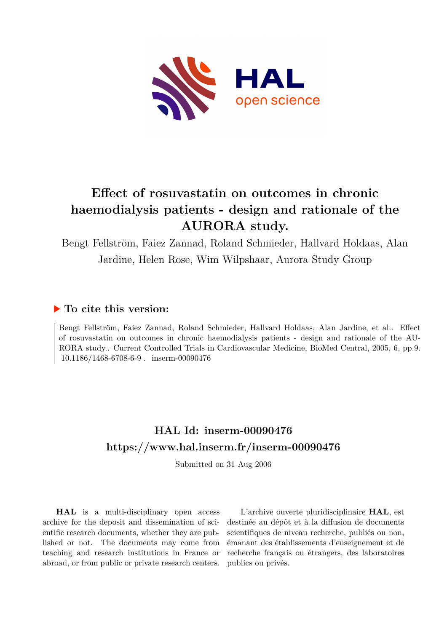

# **Effect of rosuvastatin on outcomes in chronic haemodialysis patients - design and rationale of the AURORA study.**

Bengt Fellström, Faiez Zannad, Roland Schmieder, Hallvard Holdaas, Alan Jardine, Helen Rose, Wim Wilpshaar, Aurora Study Group

## **To cite this version:**

Bengt Fellström, Faiez Zannad, Roland Schmieder, Hallvard Holdaas, Alan Jardine, et al.. Effect of rosuvastatin on outcomes in chronic haemodialysis patients - design and rationale of the AU-RORA study.. Current Controlled Trials in Cardiovascular Medicine, BioMed Central, 2005, 6, pp.9. 10.1186/1468-6708-6-9 . inserm-00090476

## **HAL Id: inserm-00090476 <https://www.hal.inserm.fr/inserm-00090476>**

Submitted on 31 Aug 2006

**HAL** is a multi-disciplinary open access archive for the deposit and dissemination of scientific research documents, whether they are published or not. The documents may come from teaching and research institutions in France or abroad, or from public or private research centers.

L'archive ouverte pluridisciplinaire **HAL**, est destinée au dépôt et à la diffusion de documents scientifiques de niveau recherche, publiés ou non, émanant des établissements d'enseignement et de recherche français ou étrangers, des laboratoires publics ou privés.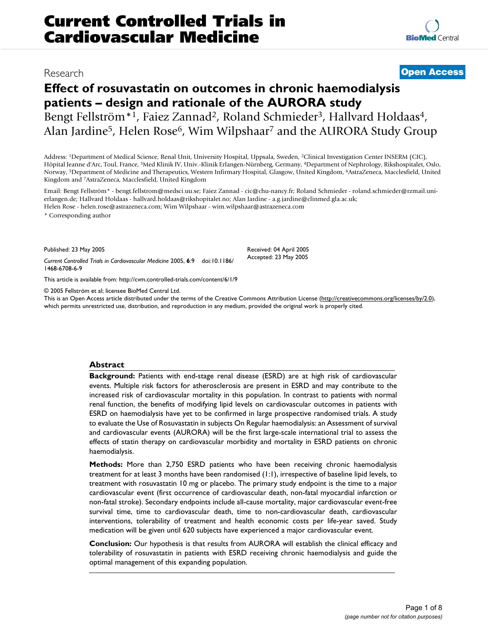## Research [Open Access](http://www.biomedcentral.com/info/about/charter/) **Effect of rosuvastatin on outcomes in chronic haemodialysis patients – design and rationale of the AURORA study**

Bengt Fellström<sup>\*1</sup>, Faiez Zannad<sup>2</sup>, Roland Schmieder<sup>3</sup>, Hallvard Holdaas<sup>4</sup>, Alan Jardine<sup>5</sup>, Helen Rose<sup>6</sup>, Wim Wilpshaar<sup>7</sup> and the AURORA Study Group

Address: <sup>1</sup>Department of Medical Science, Renal Unit, University Hospital, Uppsala, Sweden, <sup>2</sup>Clinical Investigation Center INSERM (CIC), Hôpital Jeanne d'Arc, Toul, France, <sup>3</sup>Med Klinik IV, Univ.-Klinik Erlangen-Nürnberg, Germany, <sup>4</sup>Department of Nephrology, Rikshospitalet, Oslo, Norway, <sup>5</sup>Department of Medicine and Therapeutics, Western Infirmary Hospital, Glasgow, United Kingdom, <sup>6</sup>AstraZeneca, Macclesfield, United Kingdom and <sup>7</sup>AstraZeneca, Macclesfield, United Kingdom

Email: Bengt Fellström\* - bengt.fellstrom@medsci.uu.se; Faiez Zannad - cic@chu-nancy.fr; Roland Schmieder - roland.schmieder@rzmail.unierlangen.de; Hallvard Holdaas - hallvard.holdaas@rikshopitalet.no; Alan Jardine - a.g.jardine@clinmed.gla.ac.uk; Helen Rose - helen.rose@astrazeneca.com; Wim Wilpshaar - wim.wilpshaar@astrazeneca.com

\* Corresponding author

Published: 23 May 2005

*Current Controlled Trials in Cardiovascular Medicine* 2005, **6**:9 doi:10.1186/ 1468-6708-6-9

[This article is available from: http://cvm.controlled-trials.com/content/6/1/9](http://cvm.controlled-trials.com/content/6/1/9)

© 2005 Fellström et al; licensee BioMed Central Ltd.

This is an Open Access article distributed under the terms of the Creative Commons Attribution License [\(http://creativecommons.org/licenses/by/2.0\)](http://creativecommons.org/licenses/by/2.0), which permits unrestricted use, distribution, and reproduction in any medium, provided the original work is properly cited.

#### **Abstract**

**Background:** Patients with end-stage renal disease (ESRD) are at high risk of cardiovascular events. Multiple risk factors for atherosclerosis are present in ESRD and may contribute to the increased risk of cardiovascular mortality in this population. In contrast to patients with normal renal function, the benefits of modifying lipid levels on cardiovascular outcomes in patients with ESRD on haemodialysis have yet to be confirmed in large prospective randomised trials. A study to evaluate the Use of Rosuvastatin in subjects On Regular haemodialysis: an Assessment of survival and cardiovascular events (AURORA) will be the first large-scale international trial to assess the effects of statin therapy on cardiovascular morbidity and mortality in ESRD patients on chronic haemodialysis.

**Methods:** More than 2,750 ESRD patients who have been receiving chronic haemodialysis treatment for at least 3 months have been randomised (1:1), irrespective of baseline lipid levels, to treatment with rosuvastatin 10 mg or placebo. The primary study endpoint is the time to a major cardiovascular event (first occurrence of cardiovascular death, non-fatal myocardial infarction or non-fatal stroke). Secondary endpoints include all-cause mortality, major cardiovascular event-free survival time, time to cardiovascular death, time to non-cardiovascular death, cardiovascular interventions, tolerability of treatment and health economic costs per life-year saved. Study medication will be given until 620 subjects have experienced a major cardiovascular event.

**Conclusion:** Our hypothesis is that results from AURORA will establish the clinical efficacy and tolerability of rosuvastatin in patients with ESRD receiving chronic haemodialysis and guide the optimal management of this expanding population.

Received: 04 April 2005 Accepted: 23 May 2005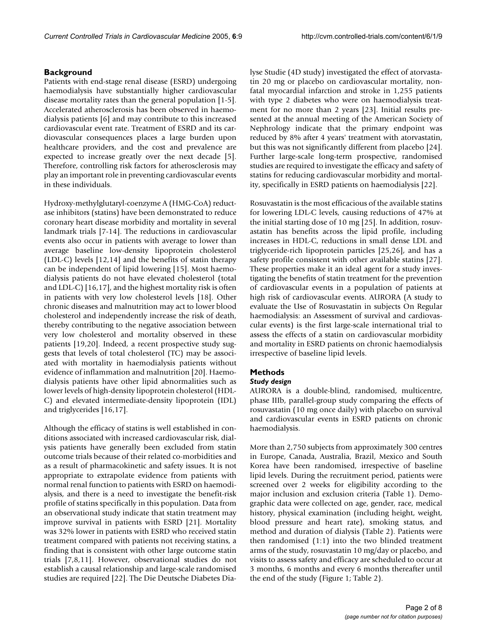#### **Background**

Patients with end-stage renal disease (ESRD) undergoing haemodialysis have substantially higher cardiovascular disease mortality rates than the general population [1-5]. Accelerated atherosclerosis has been observed in haemodialysis patients [6] and may contribute to this increased cardiovascular event rate. Treatment of ESRD and its cardiovascular consequences places a large burden upon healthcare providers, and the cost and prevalence are expected to increase greatly over the next decade [5]. Therefore, controlling risk factors for atherosclerosis may play an important role in preventing cardiovascular events in these individuals.

Hydroxy-methylglutaryl-coenzyme A (HMG-CoA) reductase inhibitors (statins) have been demonstrated to reduce coronary heart disease morbidity and mortality in several landmark trials [7-14]. The reductions in cardiovascular events also occur in patients with average to lower than average baseline low-density lipoprotein cholesterol (LDL-C) levels [12,14] and the benefits of statin therapy can be independent of lipid lowering [15]. Most haemodialysis patients do not have elevated cholesterol (total and LDL-C) [16,17], and the highest mortality risk is often in patients with very low cholesterol levels [18]. Other chronic diseases and malnutrition may act to lower blood cholesterol and independently increase the risk of death, thereby contributing to the negative association between very low cholesterol and mortality observed in these patients [19,20]. Indeed, a recent prospective study suggests that levels of total cholesterol (TC) may be associated with mortality in haemodialysis patients without evidence of inflammation and malnutrition [20]. Haemodialysis patients have other lipid abnormalities such as lower levels of high-density lipoprotein cholesterol (HDL-C) and elevated intermediate-density lipoprotein (IDL) and triglycerides [16,17].

Although the efficacy of statins is well established in conditions associated with increased cardiovascular risk, dialysis patients have generally been excluded from statin outcome trials because of their related co-morbidities and as a result of pharmacokinetic and safety issues. It is not appropriate to extrapolate evidence from patients with normal renal function to patients with ESRD on haemodialysis, and there is a need to investigate the benefit-risk profile of statins specifically in this population. Data from an observational study indicate that statin treatment may improve survival in patients with ESRD [21]. Mortality was 32% lower in patients with ESRD who received statin treatment compared with patients not receiving statins, a finding that is consistent with other large outcome statin trials [7,8,11]. However, observational studies do not establish a causal relationship and large-scale randomised studies are required [22]. The Die Deutsche Diabetes Dialyse Studie (4D study) investigated the effect of atorvastatin 20 mg or placebo on cardiovascular mortality, nonfatal myocardial infarction and stroke in 1,255 patients with type 2 diabetes who were on haemodialysis treatment for no more than 2 years [23]. Initial results presented at the annual meeting of the American Society of Nephrology indicate that the primary endpoint was reduced by 8% after 4 years' treatment with atorvastatin, but this was not significantly different from placebo [24]. Further large-scale long-term prospective, randomised studies are required to investigate the efficacy and safety of statins for reducing cardiovascular morbidity and mortality, specifically in ESRD patients on haemodialysis [22].

Rosuvastatin is the most efficacious of the available statins for lowering LDL-C levels, causing reductions of 47% at the initial starting dose of 10 mg [25]. In addition, rosuvastatin has benefits across the lipid profile, including increases in HDL-C, reductions in small dense LDL and triglyceride-rich lipoprotein particles [25,26], and has a safety profile consistent with other available statins [27]. These properties make it an ideal agent for a study investigating the benefits of statin treatment for the prevention of cardiovascular events in a population of patients at high risk of cardiovascular events. AURORA (A study to evaluate the Use of Rosuvastatin in subjects On Regular haemodialysis: an Assessment of survival and cardiovascular events) is the first large-scale international trial to assess the effects of a statin on cardiovascular morbidity and mortality in ESRD patients on chronic haemodialysis irrespective of baseline lipid levels.

### **Methods**

### *Study design*

AURORA is a double-blind, randomised, multicentre, phase IIIb, parallel-group study comparing the effects of rosuvastatin (10 mg once daily) with placebo on survival and cardiovascular events in ESRD patients on chronic haemodialysis.

More than 2,750 subjects from approximately 300 centres in Europe, Canada, Australia, Brazil, Mexico and South Korea have been randomised, irrespective of baseline lipid levels. During the recruitment period, patients were screened over 2 weeks for eligibility according to the major inclusion and exclusion criteria (Table [1\)](#page-3-0). Demographic data were collected on age, gender, race, medical history, physical examination (including height, weight, blood pressure and heart rate), smoking status, and method and duration of dialysis (Table 2). Patients were then randomised (1:1) into the two blinded treatment arms of the study, rosuvastatin 10 mg/day or placebo, and visits to assess safety and efficacy are scheduled to occur at 3 months, 6 months and every 6 months thereafter until the end of the study (Figure 1; Table 2).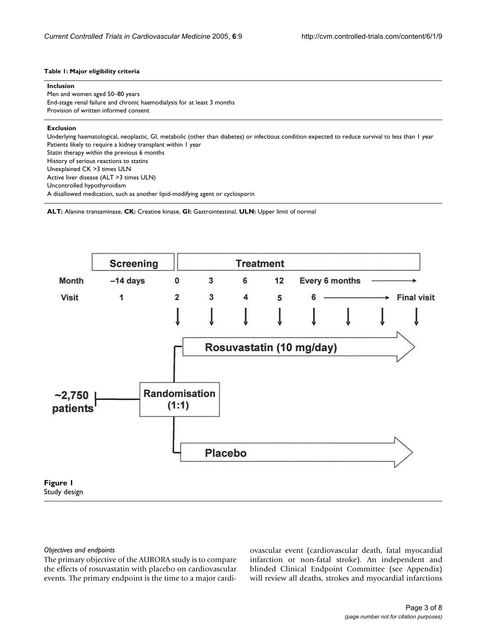#### <span id="page-3-0"></span>**Table 1: Major eligibility criteria**

#### **Inclusion**

Men and women aged 50–80 years End-stage renal failure and chronic haemodialysis for at least 3 months Provision of written informed consent

#### **Exclusion**

Underlying haematological, neoplastic, GI, metabolic (other than diabetes) or infectious condition expected to reduce survival to less than 1 year Patients likely to require a kidney transplant within 1 year Statin therapy within the previous 6 months History of serious reactions to statins Unexplained CK >3 times ULN Active liver disease (ALT >3 times ULN) Uncontrolled hypothyroidism A disallowed medication, such as another lipid-modifying agent or cyclosporin

**ALT:** Alanine transaminase, **CK:** Creatine kinase, **GI:** Gastrointestinal, **ULN:** Upper limit of normal



#### *Objectives and endpoints*

The primary objective of the AURORA study is to compare the effects of rosuvastatin with placebo on cardiovascular events. The primary endpoint is the time to a major cardiovascular event (cardiovascular death, fatal myocardial infarction or non-fatal stroke). An independent and blinded Clinical Endpoint Committee (see Appendix) will review all deaths, strokes and myocardial infarctions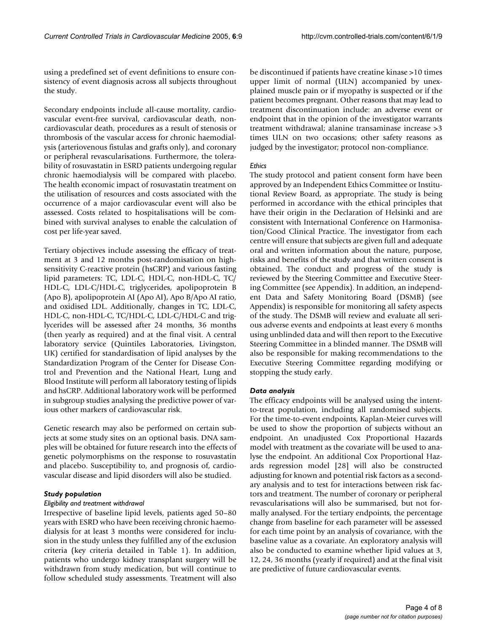using a predefined set of event definitions to ensure consistency of event diagnosis across all subjects throughout the study.

Secondary endpoints include all-cause mortality, cardiovascular event-free survival, cardiovascular death, noncardiovascular death, procedures as a result of stenosis or thrombosis of the vascular access for chronic haemodialysis (arteriovenous fistulas and grafts only), and coronary or peripheral revascularisations. Furthermore, the tolerability of rosuvastatin in ESRD patients undergoing regular chronic haemodialysis will be compared with placebo. The health economic impact of rosuvastatin treatment on the utilisation of resources and costs associated with the occurrence of a major cardiovascular event will also be assessed. Costs related to hospitalisations will be combined with survival analyses to enable the calculation of cost per life-year saved.

Tertiary objectives include assessing the efficacy of treatment at 3 and 12 months post-randomisation on highsensitivity C-reactive protein (hsCRP) and various fasting lipid parameters: TC, LDL-C, HDL-C, non-HDL-C, TC/ HDL-C, LDL-C/HDL-C, triglycerides, apolipoprotein B (Apo B), apolipoprotein AI (Apo AI), Apo B/Apo AI ratio, and oxidised LDL. Additionally, changes in TC, LDL-C, HDL-C, non-HDL-C, TC/HDL-C, LDL-C/HDL-C and triglycerides will be assessed after 24 months, 36 months (then yearly as required) and at the final visit. A central laboratory service (Quintiles Laboratories, Livingston, UK) certified for standardisation of lipid analyses by the Standardization Program of the Center for Disease Control and Prevention and the National Heart, Lung and Blood Institute will perform all laboratory testing of lipids and hsCRP. Additional laboratory work will be performed in subgroup studies analysing the predictive power of various other markers of cardiovascular risk.

Genetic research may also be performed on certain subjects at some study sites on an optional basis. DNA samples will be obtained for future research into the effects of genetic polymorphisms on the response to rosuvastatin and placebo. Susceptibility to, and prognosis of, cardiovascular disease and lipid disorders will also be studied.

### *Study population*

#### *Eligibility and treatment withdrawal*

Irrespective of baseline lipid levels, patients aged 50–80 years with ESRD who have been receiving chronic haemodialysis for at least 3 months were considered for inclusion in the study unless they fulfilled any of the exclusion criteria (key criteria detailed in Table [1](#page-3-0)). In addition, patients who undergo kidney transplant surgery will be withdrawn from study medication, but will continue to follow scheduled study assessments. Treatment will also

be discontinued if patients have creatine kinase >10 times upper limit of normal (ULN) accompanied by unexplained muscle pain or if myopathy is suspected or if the patient becomes pregnant. Other reasons that may lead to treatment discontinuation include: an adverse event or endpoint that in the opinion of the investigator warrants treatment withdrawal; alanine transaminase increase >3 times ULN on two occasions; other safety reasons as judged by the investigator; protocol non-compliance.

#### *Ethics*

The study protocol and patient consent form have been approved by an Independent Ethics Committee or Institutional Review Board, as appropriate. The study is being performed in accordance with the ethical principles that have their origin in the Declaration of Helsinki and are consistent with International Conference on Harmonisation/Good Clinical Practice. The investigator from each centre will ensure that subjects are given full and adequate oral and written information about the nature, purpose, risks and benefits of the study and that written consent is obtained. The conduct and progress of the study is reviewed by the Steering Committee and Executive Steering Committee (see Appendix). In addition, an independent Data and Safety Monitoring Board (DSMB) (see Appendix) is responsible for monitoring all safety aspects of the study. The DSMB will review and evaluate all serious adverse events and endpoints at least every 6 months using unblinded data and will then report to the Executive Steering Committee in a blinded manner. The DSMB will also be responsible for making recommendations to the Executive Steering Committee regarding modifying or stopping the study early.

### *Data analysis*

The efficacy endpoints will be analysed using the intentto-treat population, including all randomised subjects. For the time-to-event endpoints, Kaplan-Meier curves will be used to show the proportion of subjects without an endpoint. An unadjusted Cox Proportional Hazards model with treatment as the covariate will be used to analyse the endpoint. An additional Cox Proportional Hazards regression model [28] will also be constructed adjusting for known and potential risk factors as a secondary analysis and to test for interactions between risk factors and treatment. The number of coronary or peripheral revascularisations will also be summarised, but not formally analysed. For the tertiary endpoints, the percentage change from baseline for each parameter will be assessed for each time point by an analysis of covariance, with the baseline value as a covariate. An exploratory analysis will also be conducted to examine whether lipid values at 3, 12, 24, 36 months (yearly if required) and at the final visit are predictive of future cardiovascular events.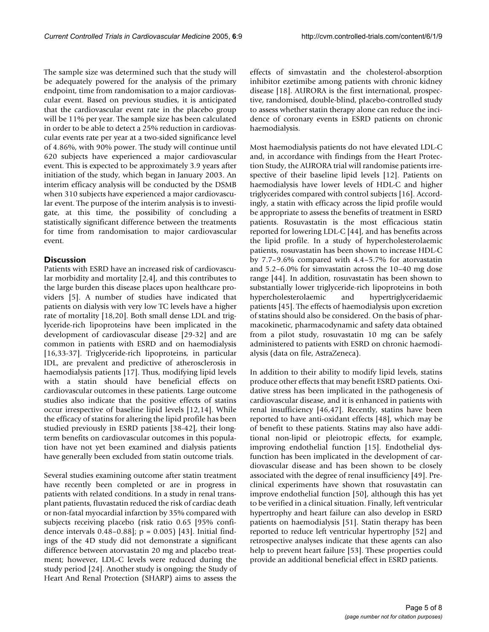The sample size was determined such that the study will be adequately powered for the analysis of the primary endpoint, time from randomisation to a major cardiovascular event. Based on previous studies, it is anticipated that the cardiovascular event rate in the placebo group will be 11% per year. The sample size has been calculated in order to be able to detect a 25% reduction in cardiovascular events rate per year at a two-sided significance level of 4.86%, with 90% power. The study will continue until 620 subjects have experienced a major cardiovascular event. This is expected to be approximately 3.9 years after initiation of the study, which began in January 2003. An interim efficacy analysis will be conducted by the DSMB when 310 subjects have experienced a major cardiovascular event. The purpose of the interim analysis is to investigate, at this time, the possibility of concluding a statistically significant difference between the treatments for time from randomisation to major cardiovascular event.

#### **Discussion**

Patients with ESRD have an increased risk of cardiovascular morbidity and mortality [2,4], and this contributes to the large burden this disease places upon healthcare providers [5]. A number of studies have indicated that patients on dialysis with very low TC levels have a higher rate of mortality [18,20]. Both small dense LDL and triglyceride-rich lipoproteins have been implicated in the development of cardiovascular disease [29-32] and are common in patients with ESRD and on haemodialysis [16,33-37]. Triglyceride-rich lipoproteins, in particular IDL, are prevalent and predictive of atherosclerosis in haemodialysis patients [17]. Thus, modifying lipid levels with a statin should have beneficial effects on cardiovascular outcomes in these patients. Large outcome studies also indicate that the positive effects of statins occur irrespective of baseline lipid levels [12,14]. While the efficacy of statins for altering the lipid profile has been studied previously in ESRD patients [38-42], their longterm benefits on cardiovascular outcomes in this population have not yet been examined and dialysis patients have generally been excluded from statin outcome trials.

Several studies examining outcome after statin treatment have recently been completed or are in progress in patients with related conditions. In a study in renal transplant patients, fluvastatin reduced the risk of cardiac death or non-fatal myocardial infarction by 35% compared with subjects receiving placebo (risk ratio 0.65 [95% confidence intervals  $0.48-0.88$ ; p = 0.005) [43]. Initial findings of the 4D study did not demonstrate a significant difference between atorvastatin 20 mg and placebo treatment; however, LDL-C levels were reduced during the study period [24]. Another study is ongoing; the Study of Heart And Renal Protection (SHARP) aims to assess the effects of simvastatin and the cholesterol-absorption inhibitor ezetimibe among patients with chronic kidney disease [18]. AURORA is the first international, prospective, randomised, double-blind, placebo-controlled study to assess whether statin therapy alone can reduce the incidence of coronary events in ESRD patients on chronic haemodialysis.

Most haemodialysis patients do not have elevated LDL-C and, in accordance with findings from the Heart Protection Study, the AURORA trial will randomise patients irrespective of their baseline lipid levels [12]. Patients on haemodialysis have lower levels of HDL-C and higher triglycerides compared with control subjects [16]. Accordingly, a statin with efficacy across the lipid profile would be appropriate to assess the benefits of treatment in ESRD patients. Rosuvastatin is the most efficacious statin reported for lowering LDL-C [44], and has benefits across the lipid profile. In a study of hypercholesterolaemic patients, rosuvastatin has been shown to increase HDL-C by 7.7–9.6% compared with 4.4–5.7% for atorvastatin and 5.2–6.0% for simvastatin across the 10–40 mg dose range [44]. In addition, rosuvastatin has been shown to substantially lower triglyceride-rich lipoproteins in both hypercholesterolaemic and hypertriglyceridaemic patients [45]. The effects of haemodialysis upon excretion of statins should also be considered. On the basis of pharmacokinetic, pharmacodynamic and safety data obtained from a pilot study, rosuvastatin 10 mg can be safely administered to patients with ESRD on chronic haemodialysis (data on file, AstraZeneca).

In addition to their ability to modify lipid levels, statins produce other effects that may benefit ESRD patients. Oxidative stress has been implicated in the pathogenesis of cardiovascular disease, and it is enhanced in patients with renal insufficiency [46,47]. Recently, statins have been reported to have anti-oxidant effects [48], which may be of benefit to these patients. Statins may also have additional non-lipid or pleiotropic effects, for example, improving endothelial function [15]. Endothelial dysfunction has been implicated in the development of cardiovascular disease and has been shown to be closely associated with the degree of renal insufficiency [49]. Preclinical experiments have shown that rosuvastatin can improve endothelial function [50], although this has yet to be verified in a clinical situation. Finally, left ventricular hypertrophy and heart failure can also develop in ESRD patients on haemodialysis [51]. Statin therapy has been reported to reduce left ventricular hypertrophy [52] and retrospective analyses indicate that these agents can also help to prevent heart failure [53]. These properties could provide an additional beneficial effect in ESRD patients.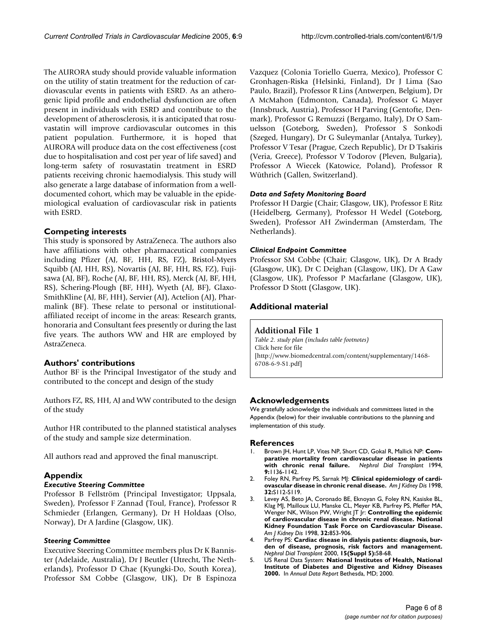The AURORA study should provide valuable information on the utility of statin treatment for the reduction of cardiovascular events in patients with ESRD. As an atherogenic lipid profile and endothelial dysfunction are often present in individuals with ESRD and contribute to the development of atherosclerosis, it is anticipated that rosuvastatin will improve cardiovascular outcomes in this patient population. Furthermore, it is hoped that AURORA will produce data on the cost effectiveness (cost due to hospitalisation and cost per year of life saved) and long-term safety of rosuvastatin treatment in ESRD patients receiving chronic haemodialysis. This study will also generate a large database of information from a welldocumented cohort, which may be valuable in the epidemiological evaluation of cardiovascular risk in patients with ESRD.

#### **Competing interests**

This study is sponsored by AstraZeneca. The authors also have affiliations with other pharmaceutical companies including Pfizer (AJ, BF, HH, RS, FZ), Bristol-Myers Squibb (AJ, HH, RS), Novartis (AJ, BF, HH, RS, FZ), Fujisawa (AJ, BF), Roche (AJ, BF, HH, RS), Merck (AJ, BF, HH, RS), Schering-Plough (BF, HH), Wyeth (AJ, BF), Glaxo-SmithKline (AJ, BF, HH), Servier (AJ), Actelion (AJ), Pharmalink (BF). These relate to personal or institutionalaffiliated receipt of income in the areas: Research grants, honoraria and Consultant fees presently or during the last five years. The authors WW and HR are employed by AstraZeneca.

#### **Authors' contributions**

Author BF is the Principal Investigator of the study and contributed to the concept and design of the study

Authors FZ, RS, HH, AJ and WW contributed to the design of the study

Author HR contributed to the planned statistical analyses of the study and sample size determination.

All authors read and approved the final manuscript.

### **Appendix**

#### *Executive Steering Committee*

Professor B Fellström (Principal Investigator; Uppsala, Sweden), Professor F Zannad (Toul, France), Professor R Schmieder (Erlangen, Germany), Dr H Holdaas (Olso, Norway), Dr A Jardine (Glasgow, UK).

#### *Steering Committee*

Executive Steering Committee members plus Dr K Bannister (Adelaide, Australia), Dr J Beutler (Utrecht, The Netherlands), Professor D Chae (Kyungki-Do, South Korea), Professor SM Cobbe (Glasgow, UK), Dr B Espinoza Vazquez (Colonia Toriello Guerra, Mexico), Professor C Gronhagen-Riska (Helsinki, Finland), Dr J Lima (Sao Paulo, Brazil), Professor R Lins (Antwerpen, Belgium), Dr A McMahon (Edmonton, Canada), Professor G Mayer (Innsbruck, Austria), Professor H Parving (Gentofte, Denmark), Professor G Remuzzi (Bergamo, Italy), Dr O Samuelsson (Goteborg, Sweden), Professor S Sonkodi (Szeged, Hungary), Dr G Suleymanlar (Antalya, Turkey), Professor V Tesar (Prague, Czech Republic), Dr D Tsakiris (Veria, Greece), Professor V Todorov (Pleven, Bulgaria), Professor A Wiecek (Katowice, Poland), Professor R Wûthrich (Gallen, Switzerland).

#### *Data and Safety Monitoring Board*

Professor H Dargie (Chair; Glasgow, UK), Professor E Ritz (Heidelberg, Germany), Professor H Wedel (Goteborg, Sweden), Professor AH Zwinderman (Amsterdam, The Netherlands).

#### *Clinical Endpoint Committee*

Professor SM Cobbe (Chair; Glasgow, UK), Dr A Brady (Glasgow, UK), Dr C Deighan (Glasgow, UK), Dr A Gaw (Glasgow, UK), Professor P Macfarlane (Glasgow, UK), Professor D Stott (Glasgow, UK).

#### **Additional material**

#### **Additional File 1**

*Table 2. study plan (includes table footnotes)* Click here for file [\[http://www.biomedcentral.com/content/supplementary/1468-](http://www.biomedcentral.com/content/supplementary/1468-6708-6-9-S1.pdf) 6708-6-9-S1.pdf]

#### **Acknowledgements**

We gratefully acknowledge the individuals and committees listed in the Appendix (below) for their invaluable contributions to the planning and implementation of this study.

#### **References**

- 1. Brown JH, Hunt LP, Vites NP, Short CD, Gokal R, Mallick NP: **[Com](http://www.ncbi.nlm.nih.gov/entrez/query.fcgi?cmd=Retrieve&db=PubMed&dopt=Abstract&list_uids=7800214)[parative mortality from cardiovascular disease in patients](http://www.ncbi.nlm.nih.gov/entrez/query.fcgi?cmd=Retrieve&db=PubMed&dopt=Abstract&list_uids=7800214) [with chronic renal failure.](http://www.ncbi.nlm.nih.gov/entrez/query.fcgi?cmd=Retrieve&db=PubMed&dopt=Abstract&list_uids=7800214)** *Nephrol Dial Transplant* 1994, **9:**1136-1142.
- 2. Foley RN, Parfrey PS, Sarnak MJ: **[Clinical epidemiology of cardi](http://www.ncbi.nlm.nih.gov/entrez/query.fcgi?cmd=Retrieve&db=PubMed&dopt=Abstract&list_uids=9820470)[ovascular disease in chronic renal disease.](http://www.ncbi.nlm.nih.gov/entrez/query.fcgi?cmd=Retrieve&db=PubMed&dopt=Abstract&list_uids=9820470)** *Am J Kidney Dis* 1998, **32:**S112-S119.
- 3. Levey AS, Beto JA, Coronado BE, Eknoyan G, Foley RN, Kasiske BL, Klag MJ, Mailloux LU, Manske CL, Meyer KB, Parfrey PS, Pfeffer MA, Wenger NK, Wilson PW, Wright JT Jr: **[Controlling the epidemic](http://www.ncbi.nlm.nih.gov/entrez/query.fcgi?cmd=Retrieve&db=PubMed&dopt=Abstract&list_uids=9820460) of cardiovascular disease in chronic renal disease. National [Kidney Foundation Task Force on Cardiovascular Disease.](http://www.ncbi.nlm.nih.gov/entrez/query.fcgi?cmd=Retrieve&db=PubMed&dopt=Abstract&list_uids=9820460)** *Am J Kidney Dis* 1998, **32:**853-906.
- 4. Parfrey PS: **[Cardiac disease in dialysis patients: diagnosis, bur](http://www.ncbi.nlm.nih.gov/entrez/query.fcgi?cmd=Retrieve&db=PubMed&dopt=Abstract&list_uids=11073277)[den of disease, prognosis, risk factors and management.](http://www.ncbi.nlm.nih.gov/entrez/query.fcgi?cmd=Retrieve&db=PubMed&dopt=Abstract&list_uids=11073277)** *Nephrol Dial Transplant* 2000, **15(Suppl 5):**58-68.
- 5. US Renal Data System: **National Institutes of Health, National Institute of Diabetes and Digestive and Kidney Diseases 2000.** In *Annual Data Report* Bethesda, MD; 2000.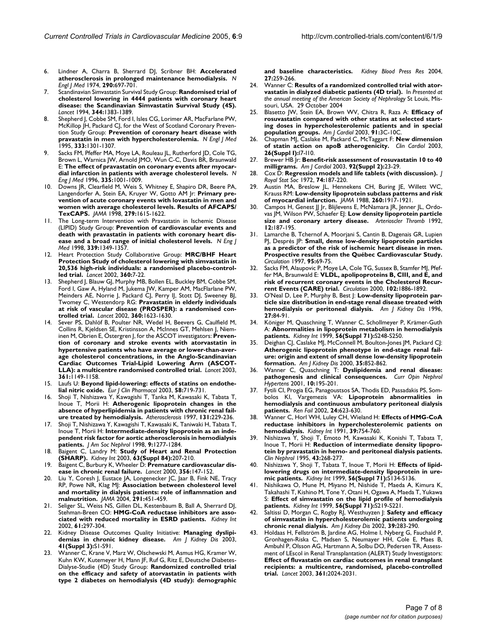- 6. Lindner A, Charra B, Sherrard DJ, Scribner BH: **[Accelerated](http://www.ncbi.nlm.nih.gov/entrez/query.fcgi?cmd=Retrieve&db=PubMed&dopt=Abstract&list_uids=4813742) [atherosclerosis in prolonged maintenance hemodialysis.](http://www.ncbi.nlm.nih.gov/entrez/query.fcgi?cmd=Retrieve&db=PubMed&dopt=Abstract&list_uids=4813742)** *N Engl J Med* 1974, **290:**697-701.
- 7. Scandinavian Simvastatin Survival Study Group: **[Randomised trial of](http://www.ncbi.nlm.nih.gov/entrez/query.fcgi?cmd=Retrieve&db=PubMed&dopt=Abstract&list_uids=7968073) [cholesterol lowering in 4444 patients with coronary heart](http://www.ncbi.nlm.nih.gov/entrez/query.fcgi?cmd=Retrieve&db=PubMed&dopt=Abstract&list_uids=7968073) disease: the Scandinavian Simvastatin Survival Study (4S).** *Lancet* 1994, **344:**1383-1389.
- 8. Shepherd J, Cobbe SM, Ford I, Isles CG, Lorimer AR, MacFarlane PW, McKillop JH, Packard CJ, for the West of Scotland Coronary Prevention Study Group: **[Prevention of coronary heart disease with](http://www.ncbi.nlm.nih.gov/entrez/query.fcgi?cmd=Retrieve&db=PubMed&dopt=Abstract&list_uids=7566020) [pravastatin in men with hypercholesterolemia.](http://www.ncbi.nlm.nih.gov/entrez/query.fcgi?cmd=Retrieve&db=PubMed&dopt=Abstract&list_uids=7566020)** *N Engl J Med* 1995, **333:**1301-1307.
- Sacks FM, Pfeffer MA, Moye LA, Rouleau JL, Rutherford JD, Cole TG, Brown L, Warnica JW, Arnold JMO, Wun C-C, Davis BR, Braunwald E: **The effect of pravastatin on coronary events after myocardial infarction in patients with average cholesterol levels.** *N Eng J Med* 1996, **335:**1001-1009.
- 10. Downs JR, Clearfield M, Weis S, Whitney E, Shapiro DR, Beere PA, Langendorfer A, Stein EA, Kruyer W, Gotto AM Jr: **[Primary pre](http://www.ncbi.nlm.nih.gov/entrez/query.fcgi?cmd=Retrieve&db=PubMed&dopt=Abstract&list_uids=9613910)[vention of acute coronary events with lovastatin in men and](http://www.ncbi.nlm.nih.gov/entrez/query.fcgi?cmd=Retrieve&db=PubMed&dopt=Abstract&list_uids=9613910) women with average cholesterol levels. Results of AFCAPS/ [TexCAPS.](http://www.ncbi.nlm.nih.gov/entrez/query.fcgi?cmd=Retrieve&db=PubMed&dopt=Abstract&list_uids=9613910)** *JAMA* 1998, **279:**1615-1622.
- 11. The Long-term Intervention with Pravastatin in Ischemic Disease (LIPID) Study Group: **Prevention of cardiovascular events and death with pravastatin in patients with coronary heart disease and a broad range of initial cholesterol levels.** *N Eng J Med* 1998, **339:**1349-1357.
- 12. Heart Protection Study Collaborative Group: **[MRC/BHF Heart](http://www.ncbi.nlm.nih.gov/entrez/query.fcgi?cmd=Retrieve&db=PubMed&dopt=Abstract&list_uids=12114036) [Protection Study of cholesterol lowering with simvastatin in](http://www.ncbi.nlm.nih.gov/entrez/query.fcgi?cmd=Retrieve&db=PubMed&dopt=Abstract&list_uids=12114036) 20,536 high-risk individuals: a randomised placebo-control[led trial.](http://www.ncbi.nlm.nih.gov/entrez/query.fcgi?cmd=Retrieve&db=PubMed&dopt=Abstract&list_uids=12114036)** *Lancet* 2002, **360:**7-22.
- Shepherd J, Blauw GJ, Murphy MB, Bollen EL, Buckley BM, Cobbe SM, Ford I, Gaw A, Hyland M, Jukema JW, Kamper AM, MacFlarlane PW, Meinders AE, Norrie J, Packard CJ, Perry IJ, Stott DJ, Sweeney BJ, Twomey C, Westendorp RG: **[Pravastatin in elderly individuals](http://www.ncbi.nlm.nih.gov/entrez/query.fcgi?cmd=Retrieve&db=PubMed&dopt=Abstract&list_uids=12457784) [at risk of vascular disease \(PROSPER\): a randomised con](http://www.ncbi.nlm.nih.gov/entrez/query.fcgi?cmd=Retrieve&db=PubMed&dopt=Abstract&list_uids=12457784)[trolled trial.](http://www.ncbi.nlm.nih.gov/entrez/query.fcgi?cmd=Retrieve&db=PubMed&dopt=Abstract&list_uids=12457784)** *Lancet* 2002, **360:**1623-1630.
- 14. Sever PS, Dahlöf B, Poulter NR, Wedel H, Beevers G, Caulfield M, Collins R, Kjeldsen SE, Kristinsson A, McInnes GT, Mehlsen J, Nieminen M, Obrien E, Östergren J, for the ASCOT investigators: **[Preven](http://www.ncbi.nlm.nih.gov/entrez/query.fcgi?cmd=Retrieve&db=PubMed&dopt=Abstract&list_uids=12686036)tion of coronary and stroke events with atorvastatin in [hypertensive patients who have average or lower-than-aver](http://www.ncbi.nlm.nih.gov/entrez/query.fcgi?cmd=Retrieve&db=PubMed&dopt=Abstract&list_uids=12686036)age cholesterol concentrations, in the Anglo-Scandinavian Cardiac Outcomes Trial-Lipid Lowering Arm (ASCOT-[LLA\): a multicentre randomised controlled trial.](http://www.ncbi.nlm.nih.gov/entrez/query.fcgi?cmd=Retrieve&db=PubMed&dopt=Abstract&list_uids=12686036)** *Lancet* 2003, **361:**1149-1158.
- 15. Laufs U: **[Beyond lipid-lowering: effects of statins on endothe](http://www.ncbi.nlm.nih.gov/entrez/query.fcgi?cmd=Retrieve&db=PubMed&dopt=Abstract&list_uids=12634978)[lial nitric oxide.](http://www.ncbi.nlm.nih.gov/entrez/query.fcgi?cmd=Retrieve&db=PubMed&dopt=Abstract&list_uids=12634978)** *Eur J Clin Pharmacol* 2003, **58:**719-731.
- 16. Shoji T, Nishizawa Y, Kawagishi T, Tanka M, Kawasaki K, Tabata T, Inoue T, Morii H: **[Atherogenic lipoprotein changes in the](http://www.ncbi.nlm.nih.gov/entrez/query.fcgi?cmd=Retrieve&db=PubMed&dopt=Abstract&list_uids=9199276) [absence of hyperlipidemia in patients with chronic renal fail](http://www.ncbi.nlm.nih.gov/entrez/query.fcgi?cmd=Retrieve&db=PubMed&dopt=Abstract&list_uids=9199276)[ure treated by hemodialysis.](http://www.ncbi.nlm.nih.gov/entrez/query.fcgi?cmd=Retrieve&db=PubMed&dopt=Abstract&list_uids=9199276)** *Atherosclerosis* 1997, **131:**229-236.
- 17. Shoji T, Nishizawa Y, Kawagishi T, Kawasaki K, Taniwaki H, Tabata T, Inoue T, Morii H: **[Intermediate-density lipoprotein as an inde](http://www.ncbi.nlm.nih.gov/entrez/query.fcgi?cmd=Retrieve&db=PubMed&dopt=Abstract&list_uids=9644639)[pendent risk factor for aortic atherosclerosis in hemodialysis](http://www.ncbi.nlm.nih.gov/entrez/query.fcgi?cmd=Retrieve&db=PubMed&dopt=Abstract&list_uids=9644639) [patients.](http://www.ncbi.nlm.nih.gov/entrez/query.fcgi?cmd=Retrieve&db=PubMed&dopt=Abstract&list_uids=9644639)** *J Am Soc Nephrol* 1998, **9:**1277-1284.
- 18. Baigent C, Landry M: **Study of Heart and Renal Protection (SHARP).** *Kidney Int* 2003, **63(Suppl 84):**207-210.
- 19. Baigent C, Burbury K, Wheeler D: **[Premature cardiovascular dis](http://www.ncbi.nlm.nih.gov/entrez/query.fcgi?cmd=Retrieve&db=PubMed&dopt=Abstract&list_uids=10963260)[ease in chronic renal failure.](http://www.ncbi.nlm.nih.gov/entrez/query.fcgi?cmd=Retrieve&db=PubMed&dopt=Abstract&list_uids=10963260)** *Lancet* 2000, **356:**147-152.
- 20. Liu Y, Coresh J, Eustace JA, Longenecker JC, Jaar B, Fink NE, Tracy RP, Powe NR, Klag MJ: **[Association between cholesterol level](http://www.ncbi.nlm.nih.gov/entrez/query.fcgi?cmd=Retrieve&db=PubMed&dopt=Abstract&list_uids=14747502) [and mortality in dialysis patients: role of inflammation and](http://www.ncbi.nlm.nih.gov/entrez/query.fcgi?cmd=Retrieve&db=PubMed&dopt=Abstract&list_uids=14747502) [malnutrition.](http://www.ncbi.nlm.nih.gov/entrez/query.fcgi?cmd=Retrieve&db=PubMed&dopt=Abstract&list_uids=14747502)** *JAMA* 2004, **291:**451-459.
- 21. Seliger SL, Weiss NS, Gillen DL, Kestenbaum B, Ball A, Sherrard DJ, Stehman-Breen CO: **[HMG-CoA reductase inhibitors are asso](http://www.ncbi.nlm.nih.gov/entrez/query.fcgi?cmd=Retrieve&db=PubMed&dopt=Abstract&list_uids=11786112)[ciated with reduced mortality in ESRD patients.](http://www.ncbi.nlm.nih.gov/entrez/query.fcgi?cmd=Retrieve&db=PubMed&dopt=Abstract&list_uids=11786112)** *Kidney Int* 2002, **61:**297-304.
- 22. Kidney Disease Outcomes Quality Initiative: **Managing dyslipidemias in chronic kidney disease.** *Am J Kidney Dis* 2003, **41(Suppl 3):**S1-S91.
- 23. Wanner C, Krane V, Marz W, Olschewski M, Asmus HG, Kramer W, Kuhn KW, Kutemeyer H, Mann JF, Ruf G, Ritz E, Deutsche Diabetes-Dialyse-Studie (4D) Study Group: **[Randomized controlled trial](http://www.ncbi.nlm.nih.gov/entrez/query.fcgi?cmd=Retrieve&db=PubMed&dopt=Abstract&list_uids=15316128) [on the efficacy and safety of atorvastatin in patients with](http://www.ncbi.nlm.nih.gov/entrez/query.fcgi?cmd=Retrieve&db=PubMed&dopt=Abstract&list_uids=15316128) type 2 diabetes on hemodialysis (4D study): demographic**

**[and baseline characteristics.](http://www.ncbi.nlm.nih.gov/entrez/query.fcgi?cmd=Retrieve&db=PubMed&dopt=Abstract&list_uids=15316128)** *Kidney Blood Press Res* 2004, **27:**259-266.

- 24. Wanner C: **Results of a randomized controlled trial with atorvastatin in dialyzed diabetic patients (4D trial).** In *Presented at the annual meeting of the American Society of Nephrology* St Louis, Missouri, USA. 29 October 2004
- 25. Blasetto JW, Stein EA, Brown WV, Chitra R, Raza A: **[Efficacy of](http://www.ncbi.nlm.nih.gov/entrez/query.fcgi?cmd=Retrieve&db=PubMed&dopt=Abstract&list_uids=12646336) [rosuvastatin compared with other statins at selected start](http://www.ncbi.nlm.nih.gov/entrez/query.fcgi?cmd=Retrieve&db=PubMed&dopt=Abstract&list_uids=12646336)ing doses in hypercholesterolemic patients and in special [population groups.](http://www.ncbi.nlm.nih.gov/entrez/query.fcgi?cmd=Retrieve&db=PubMed&dopt=Abstract&list_uids=12646336)** *Am J Cardiol* 2003, **91:**3C-10C.
- 26. Chapman MJ, Caslake M, Packard C, McTaggart F: **New dimension of statin action on apoB atherogenicity.** *Clin Cardiol* 2003, **26(Suppl I):**I7-I10.
- 27. Brewer HB Jr: **Benefit-risk assessment of rosuvastatin 10 to 40 milligrams.** *Am J Cardiol* 2003, **92(Suppl 2):**23-29.
- 28. Cox D: **Regression models and life tablets (with discussion).** *J Royal Stat Soc* 1972, **74:**187-220.
- 29. Austin MA, Breslow JL, Hennekens CH, Buring JE, Willett WC, Krauss RM: **[Low-density lipoprotein subclass patterns and risk](http://www.ncbi.nlm.nih.gov/entrez/query.fcgi?cmd=Retrieve&db=PubMed&dopt=Abstract&list_uids=3418853) [of myocardial infarction.](http://www.ncbi.nlm.nih.gov/entrez/query.fcgi?cmd=Retrieve&db=PubMed&dopt=Abstract&list_uids=3418853)** *JAMA* 1988, **260:**1917-1921.
- 30. Campos H, Genest JJ Jr, Blijlevens E, McNamara JR, Jenner JL, Ordovas JM, Wilson PW, Schaefer EJ: **[Low density lipoprotein particle](http://www.ncbi.nlm.nih.gov/entrez/query.fcgi?cmd=Retrieve&db=PubMed&dopt=Abstract&list_uids=1543692) [size and coronary artery disease.](http://www.ncbi.nlm.nih.gov/entrez/query.fcgi?cmd=Retrieve&db=PubMed&dopt=Abstract&list_uids=1543692)** *Arterioscler Thromb* 1992, **12:**187-195.
- 31. Lamarche B, Tchernof A, Moorjani S, Cantin B, Dagenais GR, Lupien PJ, Després JP: **[Small, dense low-density lipoprotein particles](http://www.ncbi.nlm.nih.gov/entrez/query.fcgi?cmd=Retrieve&db=PubMed&dopt=Abstract&list_uids=8994419) [as a predictor of the risk of ischemic heart disease in men.](http://www.ncbi.nlm.nih.gov/entrez/query.fcgi?cmd=Retrieve&db=PubMed&dopt=Abstract&list_uids=8994419) Prospective results from the Québec Cardiovascular Study.** *Circulation* 1997, **95:**69-75.
- 32. Sacks FM, Alaupovic P, Moye LA, Cole TG, Sussex B, Stamfer MJ, Pfeffer MA, Braunwald E: **[VLDL, apolipoproteins B, CIII, and E, and](http://www.ncbi.nlm.nih.gov/entrez/query.fcgi?cmd=Retrieve&db=PubMed&dopt=Abstract&list_uids=11034934) [risk of recurrent coronary events in the Cholesterol Recur](http://www.ncbi.nlm.nih.gov/entrez/query.fcgi?cmd=Retrieve&db=PubMed&dopt=Abstract&list_uids=11034934)[rent Events \(CARE\) trial.](http://www.ncbi.nlm.nih.gov/entrez/query.fcgi?cmd=Retrieve&db=PubMed&dopt=Abstract&list_uids=11034934)** *Circulation* 2000, **102:**1886-1892.
- 33. O'Neal D, Lee P, Murphy B, Best J: **[Low-density lipoprotein par](http://www.ncbi.nlm.nih.gov/entrez/query.fcgi?cmd=Retrieve&db=PubMed&dopt=Abstract&list_uids=8546142)[ticle size distribution in end-stage renal disease treated with](http://www.ncbi.nlm.nih.gov/entrez/query.fcgi?cmd=Retrieve&db=PubMed&dopt=Abstract&list_uids=8546142) [hemodialysis or peritoneal dialysis.](http://www.ncbi.nlm.nih.gov/entrez/query.fcgi?cmd=Retrieve&db=PubMed&dopt=Abstract&list_uids=8546142)** *Am J Kidney Dis* 1996, **27:**84-91.
- 34. Königer M, Quaschning T, Wanner C, Schollmeyer P, Krämer-Guth A: **Abnormalities in lipoprotein metabolism in hemodialysis patients.** *Kidney Int* 1999, **56(Suppl 71):**S248-S250.
- Deighan CJ, Caslake MJ, McConnell M, Boulton-Jones JM, Packard CJ: **[Atherogenic lipoprotein phenotype in end-stage renal fail](http://www.ncbi.nlm.nih.gov/entrez/query.fcgi?cmd=Retrieve&db=PubMed&dopt=Abstract&list_uids=10793019)ure: origin and extent of small dense low-density lipoprotein [formation.](http://www.ncbi.nlm.nih.gov/entrez/query.fcgi?cmd=Retrieve&db=PubMed&dopt=Abstract&list_uids=10793019)** *Am J Kidney Dis* 2000, **35:**852-862.
- 36. Wanner C, Quaschning T: **[Dyslipidemia and renal disease:](http://www.ncbi.nlm.nih.gov/entrez/query.fcgi?cmd=Retrieve&db=PubMed&dopt=Abstract&list_uids=11224694) [pathogenesis and clinical consequences.](http://www.ncbi.nlm.nih.gov/entrez/query.fcgi?cmd=Retrieve&db=PubMed&dopt=Abstract&list_uids=11224694)** *Curr Opin Nephrol Hypertens* 2001, **10:**195-201.
- 37. Fytili CI, Progia EG, Panagoustsos SA, Thodis ED, Passadakis PS, Sombolos KI, Vargemezis VA: **[Lipoprotein abnormalities in](http://www.ncbi.nlm.nih.gov/entrez/query.fcgi?cmd=Retrieve&db=PubMed&dopt=Abstract&list_uids=12380908) [hemodialysis and continuous ambulatory peritoneal dialysis](http://www.ncbi.nlm.nih.gov/entrez/query.fcgi?cmd=Retrieve&db=PubMed&dopt=Abstract&list_uids=12380908) [patients.](http://www.ncbi.nlm.nih.gov/entrez/query.fcgi?cmd=Retrieve&db=PubMed&dopt=Abstract&list_uids=12380908)** *Ren Fail* 2002, **24:**623-630.
- 38. Wanner C, Horl WH, Luley CH, Wieland H: **[Effects of HMG-CoA](http://www.ncbi.nlm.nih.gov/entrez/query.fcgi?cmd=Retrieve&db=PubMed&dopt=Abstract&list_uids=2051734) [reductase inhibitors in hypercholesterolemic patients on](http://www.ncbi.nlm.nih.gov/entrez/query.fcgi?cmd=Retrieve&db=PubMed&dopt=Abstract&list_uids=2051734) [hemodialysis.](http://www.ncbi.nlm.nih.gov/entrez/query.fcgi?cmd=Retrieve&db=PubMed&dopt=Abstract&list_uids=2051734)** *Kidney Int* 1991, **39:**754-760.
- 39. Nishizawa Y, Shoji T, Emoto M, Kawasaki K, Konishi T, Tabata T, Inoue T, Morii H: **[Reduction of intermediate density lipopro](http://www.ncbi.nlm.nih.gov/entrez/query.fcgi?cmd=Retrieve&db=PubMed&dopt=Abstract&list_uids=7606882)[tein by pravastatin in hemo- and peritoneal dialysis patients.](http://www.ncbi.nlm.nih.gov/entrez/query.fcgi?cmd=Retrieve&db=PubMed&dopt=Abstract&list_uids=7606882)** *Clin Nephrol* 1995, **43:**268-277.
- 40. Nishizawa Y, Shoji T, Tabata T, Inoue T, Morii H: **Effects of lipidlowering drugs on intermediate-density lipoprotein in uremic patients.** *Kidney Int* 1999, **56(Suppl 71):**S134-S136.
- 41. Nishikawa O, Mune M, Miyano M, Nishide T, Maeda A, Kimura K, Takahashi T, Kishino M, Tone Y, Otani H, Ogawa A, Maeda T, Yukawa S: **Effect of simvastatin on the lipid profile of hemodialysis patients.** *Kidney Int* 1999, **56(Suppl 71):**S219-S221.
- 42. Saltissi D, Morgan C, Rogby RJ, Westhuyzen J: **[Safety and efficacy](http://www.ncbi.nlm.nih.gov/entrez/query.fcgi?cmd=Retrieve&db=PubMed&dopt=Abstract&list_uids=11840368) [of simvastatin in hypercholesterolemic patients undergoing](http://www.ncbi.nlm.nih.gov/entrez/query.fcgi?cmd=Retrieve&db=PubMed&dopt=Abstract&list_uids=11840368) [chronic renal dialysis.](http://www.ncbi.nlm.nih.gov/entrez/query.fcgi?cmd=Retrieve&db=PubMed&dopt=Abstract&list_uids=11840368)** *Am J Kidney Dis* 2002, **39:**283-290.
- 43. Holdaas H, Fellström B, Jardine AG, Holme I, Nyberg G, Fauchald P, Gronhagen-Riska C, Madsen S, Neumayer HH, Cole E, Maes B, Ambuhl P, Olsson AG, Hartmann A, Solbu DO, Pedersen TR, Assessment of LEscol in Renal Transplantation (ALERT) Study Investigators: **[Effect of fluvastatin on cardiac outcomes in renal transplant](http://www.ncbi.nlm.nih.gov/entrez/query.fcgi?cmd=Retrieve&db=PubMed&dopt=Abstract&list_uids=12814712) recipients: a multicentre, randomised, placebo-controlled [trial.](http://www.ncbi.nlm.nih.gov/entrez/query.fcgi?cmd=Retrieve&db=PubMed&dopt=Abstract&list_uids=12814712)** *Lancet* 2003, **361:**2024-2031.